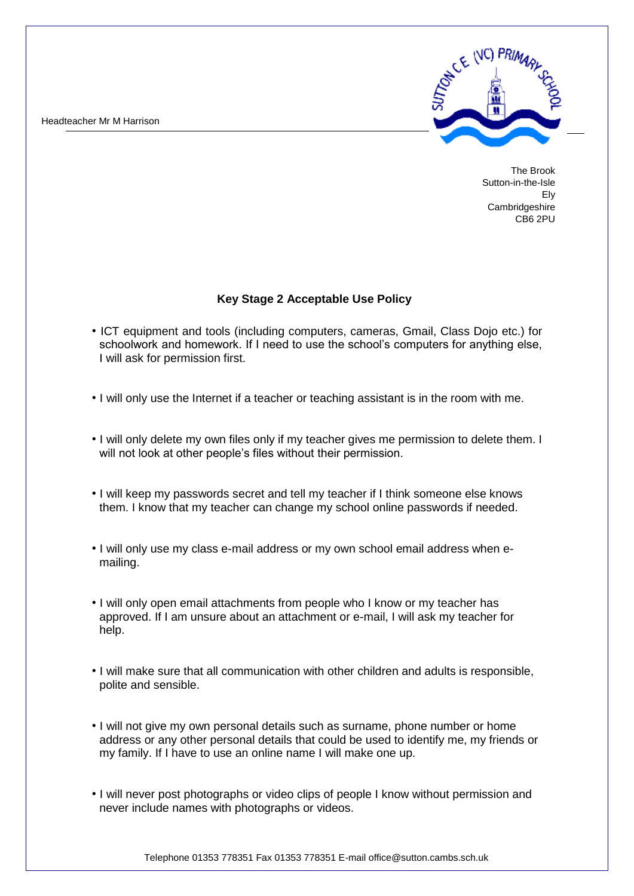Headteacher Mr M Harrison



The Brook Sutton-in-the-Isle Ely **Cambridgeshire** CB6 2PU

## **Key Stage 2 Acceptable Use Policy**

- ICT equipment and tools (including computers, cameras, Gmail, Class Dojo etc.) for schoolwork and homework. If I need to use the school's computers for anything else, I will ask for permission first.
- I will only use the Internet if a teacher or teaching assistant is in the room with me.
- I will only delete my own files only if my teacher gives me permission to delete them. I will not look at other people's files without their permission.
- I will keep my passwords secret and tell my teacher if I think someone else knows them. I know that my teacher can change my school online passwords if needed.
- I will only use my class e-mail address or my own school email address when emailing.
- I will only open email attachments from people who I know or my teacher has approved. If I am unsure about an attachment or e-mail, I will ask my teacher for help.
- I will make sure that all communication with other children and adults is responsible, polite and sensible.
- I will not give my own personal details such as surname, phone number or home address or any other personal details that could be used to identify me, my friends or my family. If I have to use an online name I will make one up.
- I will never post photographs or video clips of people I know without permission and never include names with photographs or videos.